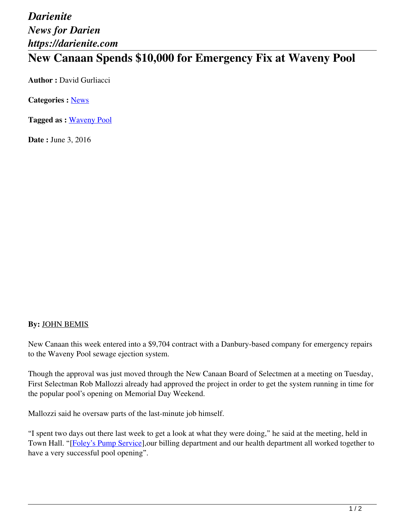## *Darienite News for Darien https://darienite.com* **New Canaan Spends \$10,000 for Emergency Fix at Waveny Pool**

**Author :** David Gurliacci

**Categories :** [News](https://darienite.com/category/news)

**Tagged as :** Waveny Pool

**Date :** June 3, 2016

## **By:** JOHN BEMIS

New Canaan this week entered into a \$9,704 contract with a Danbury-based company for emergency repairs to the Waveny Pool sewage ejection system.

Though the approval was just moved through the New Canaan Board of Selectmen at a meeting on Tuesday, First Selectman Rob Mallozzi already had approved the project in order to get the system running in time for the popular pool's opening on Memorial Day Weekend.

Mallozzi said he oversaw parts of the last-minute job himself.

"I spent two days out there last week to get a look at what they were doing," he said at the meeting, held in Town Hall. "[Foley's Pump Service], our billing department and our health department all worked together to have a very successful pool opening".